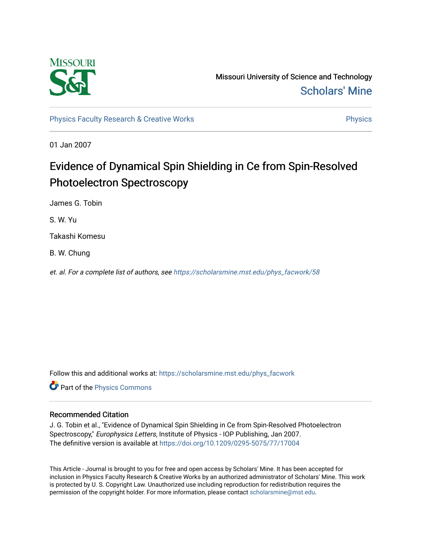

Missouri University of Science and Technology [Scholars' Mine](https://scholarsmine.mst.edu/) 

[Physics Faculty Research & Creative Works](https://scholarsmine.mst.edu/phys_facwork) **Physics** [Physics](https://scholarsmine.mst.edu/phys) Physics

01 Jan 2007

## Evidence of Dynamical Spin Shielding in Ce from Spin-Resolved Photoelectron Spectroscopy

James G. Tobin

S. W. Yu

Takashi Komesu

B. W. Chung

et. al. For a complete list of authors, see [https://scholarsmine.mst.edu/phys\\_facwork/58](https://scholarsmine.mst.edu/phys_facwork/58) 

Follow this and additional works at: [https://scholarsmine.mst.edu/phys\\_facwork](https://scholarsmine.mst.edu/phys_facwork?utm_source=scholarsmine.mst.edu%2Fphys_facwork%2F58&utm_medium=PDF&utm_campaign=PDFCoverPages) 

**P** Part of the [Physics Commons](http://network.bepress.com/hgg/discipline/193?utm_source=scholarsmine.mst.edu%2Fphys_facwork%2F58&utm_medium=PDF&utm_campaign=PDFCoverPages)

## Recommended Citation

J. G. Tobin et al., "Evidence of Dynamical Spin Shielding in Ce from Spin-Resolved Photoelectron Spectroscopy," Europhysics Letters, Institute of Physics - IOP Publishing, Jan 2007. The definitive version is available at <https://doi.org/10.1209/0295-5075/77/17004>

This Article - Journal is brought to you for free and open access by Scholars' Mine. It has been accepted for inclusion in Physics Faculty Research & Creative Works by an authorized administrator of Scholars' Mine. This work is protected by U. S. Copyright Law. Unauthorized use including reproduction for redistribution requires the permission of the copyright holder. For more information, please contact [scholarsmine@mst.edu](mailto:scholarsmine@mst.edu).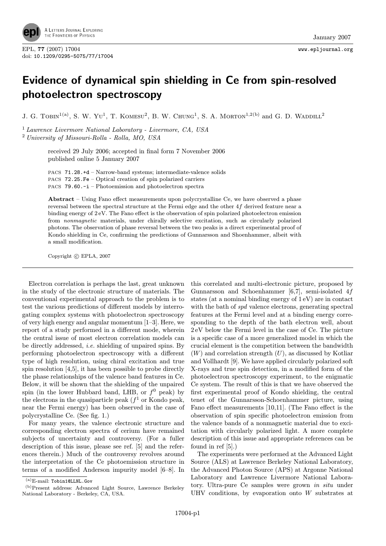

## Evidence of dynamical spin shielding in Ce from spin-resolved photoelectron spectroscopy

J. G. TOBIN<sup>1(a)</sup>, S. W. YU<sup>1</sup>, T. KOMESU<sup>2</sup>, B. W. CHUNG<sup>1</sup>, S. A. MORTON<sup>1,2(b)</sup> and G. D. WADDILL<sup>2</sup>

<sup>1</sup> Lawrence Livermore National Laboratory - Livermore, CA, USA <sup>2</sup> University of Missouri-Rolla - Rolla, MO, USA

> received 29 July 2006; accepted in final form 7 November 2006 published online 5 January 2007

> PACS 71.28.+d – Narrow-band systems; intermediate-valence solids PACS 72.25.Fe – Optical creation of spin polarized carriers PACS 79.60.-i – Photoemission and photoelectron spectra

Abstract – Using Fano effect measurements upon polycrystalline Ce, we have observed a phase reversal between the spectral structure at the Fermi edge and the other 4f derived feature near a binding energy of 2 eV. The Fano effect is the observation of spin polarized photoelectron emission from nonmagnetic materials, under chirally selective excitation, such as circularly polarized photons. The observation of phase reversal between the two peaks is a direct experimental proof of Kondo shielding in Ce, confirming the predictions of Gunnarsson and Shoenhammer, albeit with a small modification.

Copyright  $\odot$  EPLA, 2007

Electron correlation is perhaps the last, great unknown in the study of the electronic structure of materials. The conventional experimental approach to the problem is to test the various predictions of different models by interrogating complex systems with photoelectron spectroscopy of very high energy and angular momentum [1–3]. Here, we report of a study performed in a different mode, wherein the central issue of most electron correlation models can be directly addressed, i.e. shielding of unpaired spins. By performing photoelectron spectroscopy with a different type of high resolution, using chiral excitation and true spin resolution [4,5], it has been possible to probe directly the phase relationships of the valence band features in Ce. Below, it will be shown that the shielding of the unpaired spin (in the lower Hubbard band, LHB, or  $f^0$  peak) by the electrons in the quasiparticle peak  $(f<sup>1</sup>$  or Kondo peak, near the Fermi energy) has been observed in the case of polycrystalline Ce. (See fig. 1.)

For many years, the valence electronic structure and corresponding electron spectra of cerium have remained subjects of uncertainty and controversy. (For a fuller description of this issue, please see ref. [5] and the references therein.) Much of the controversy revolves around the interpretation of the Ce photoemission structure in terms of a modified Anderson impurity model [6–8]. In this correlated and multi-electronic picture, proposed by Gunnarsson and Schoenhammer  $[6,7]$ , semi-isolated 4f states (at a nominal binding energy of 1 eV) are in contact with the bath of *spd* valence electrons, generating spectral features at the Fermi level and at a binding energy corresponding to the depth of the bath electron well, about 2 eV below the Fermi level in the case of Ce. The picture is a specific case of a more generalized model in which the crucial element is the competition between the bandwidth  $(W)$  and correlation strength  $(U)$ , as discussed by Kotliar and Vollhardt [9]. We have applied circularly polarized soft X-rays and true spin detection, in a modified form of the photoelectron spectroscopy experiment, to the enigmatic Ce system. The result of this is that we have observed the first experimental proof of Kondo shielding, the central tenet of the Gunnarsson-Schoenhammer picture, using Fano effect measurements [10,11]. (The Fano effect is the observation of spin specific photoelectron emission from the valence bands of a nonmagnetic material due to excitation with circularly polarized light. A more complete description of this issue and appropriate references can be found in ref [5].)

The experiments were performed at the Advanced Light Source (ALS) at Lawrence Berkeley National Laboratory, the Advanced Photon Source (APS) at Argonne National Laboratory and Lawrence Livermore National Laboratory. Ultra-pure Ce samples were grown in situ under UHV conditions, by evaporation onto  $W$  substrates at

 $(a)$ E-mail: Tobin1@LLNL.Gov

<sup>(</sup>b)Present address: Advanced Light Source, Lawrence Berkeley National Laboratory - Berkeley, CA, USA.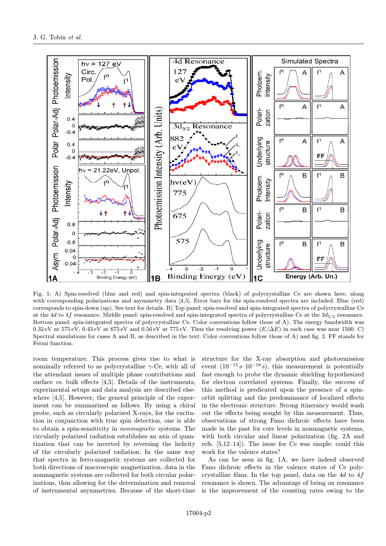

Fig. 1: A) Spin-resolved (blue and red) and spin-integrated spectra (black) of polycrystalline Ce are shown here, along with corresponding polarizations and asymmetry data [4,5]. Error bars for the spin-resolved spectra are included. Blue (red) corresponds to spin-down (up). See text for details. B) Top panel: spin-resolved and spin-integrated spectra of polycrystalline Ce at the 4d to 4f resonance. Middle panel: spin-resolved and spin-integrated spectra of polycrystalline Ce at the  $3d_{5/2}$  resonance. Bottom panel: spin-integrated spectra of polycrystalline Ce. Color conventions follow those of A). The energy bandwidth was 0.32 eV at 575 eV, 0.43 eV at 675 eV and 0.56 eV at 775 eV. Thus the resolving power  $(E/\Delta E)$  in each case was near 1500. C) Spectral simulations for cases A and B, as described in the text. Color conventions follow those of A) and fig. 2. FF stands for Fermi function.

room temperature. This process gives rise to what is nominally referred to as polycrystalline  $\gamma$ -Ce, with all of the attendant issues of multiple phase contributions and surface vs. bulk effects [4,5]. Details of the instruments, experimental setups and data analysis are described elsewhere [4,5]. However, the general principle of the experiment can be summarized as follows. By using a chiral probe, such as circularly polarized X-rays, for the excitation in conjunction with true spin detection, one is able to obtain a spin-sensitivity in nonmagnetic systems. The circularly polarized radiation establishes an axis of quantization that can be inverted by reversing the helicity of the circularly polarized radiation. In the same way that spectra in ferro-magnetic systems are collected for both directions of macroscopic magnetization, data in the nonmagnetic systems are collected for both circular polarizations, thus allowing for the determination and removal of instrumental asymmetries. Because of the short-time structure for the X-ray absorption and photoemission event  $(10^{-15} \text{ s} - 10^{-18} \text{ s})$ , this measurement is potentially fast enough to probe the dynamic shielding hypothesized for electron correlated systems. Finally, the success of this method is predicated upon the presence of a spinorbit splitting and the predominance of localized effects in the electronic structure. Strong itinerancy would wash out the effects being sought by this measurement. Thus, observations of strong Fano dichroic effects have been made in the past for core levels in nonmagnetic systems, with both circular and linear polarization (fig. 2A and refs. [5,12–14]). The issue for Ce was simple: could this work for the valence states?

As can be seen in fig. 1A, we have indeed observed Fano dichroic effects in the valence states of Ce polycrystalline films. In the top panel, data on the  $4d$  to  $4f$ resonance is shown. The advantage of being on resonance is the improvement of the counting rates owing to the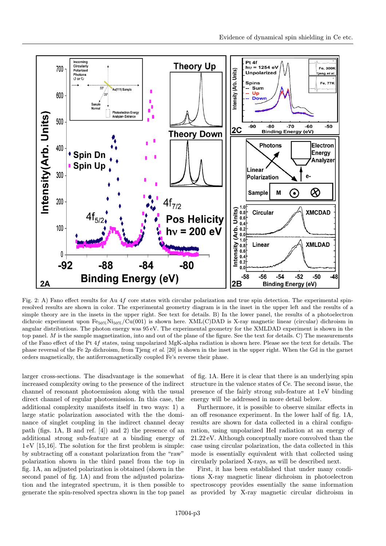

Fig. 2: A) Fano effect results for Au 4f core states with circular polarization and true spin detection. The experimental spinresolved results are shown in color. The experimental geometry diagram is in the inset in the upper left and the results of a simple theory are in the insets in the upper right. See text for details. B) In the lower panel, the results of a photoelectron dichroic experiment upon  $Fe_{50\%}Ni_{50\%}/Cu(001)$  is shown here. XML(C)DAD is X-ray magnetic linear (circular) dichroism in angular distributions. The photon energy was 95 eV. The experimental geometry for the XMLDAD experiment is shown in the top panel. M is the sample magnetization, into and out of the plane of the figure. See the text for details. C) The measurements of the Fano effect of the Pt 4f states, using unpolarized MgK-alpha radiation is shown here. Please see the text for details. The phase reversal of the Fe 2p dichroism, from Tjeng et al. [20] is shown in the inset in the upper right. When the Gd in the garnet orders magnetically, the antiferromagnetically coupled Fe's reverse their phase.

larger cross-sections. The disadvantage is the somewhat increased complexity owing to the presence of the indirect channel of resonant photoemission along with the usual direct channel of regular photoemission. In this case, the additional complexity manifests itself in two ways: 1) a large static polarization associated with the the dominance of singlet coupling in the indirect channel decay path (figs. 1A, B and ref. [4]) and 2) the presence of an additional strong sub-feature at a binding energy of 1 eV [15,16]. The solution for the first problem is simple: by subtracting off a constant polarization from the "raw" polarization shown in the third panel from the top in fig. 1A, an adjusted polarization is obtained (shown in the second panel of fig. 1A) and from the adjusted polarization and the integrated spectrum, it is then possible to generate the spin-resolved spectra shown in the top panel

of fig. 1A. Here it is clear that there is an underlying spin structure in the valence states of Ce. The second issue, the presence of the fairly strong sub-feature at 1 eV binding energy will be addressed in more detail below.

Furthermore, it is possible to observe similar effects in an off resonance experiment. In the lower half of fig. 1A, results are shown for data collected in a chiral configuration, using unpolarized HeI radiation at an energy of 21.22 eV. Although conceptually more convolved than the case using circular polarization, the data collected in this mode is essentially equivalent with that collected using circularly polarized X-rays, as will be described next.

First, it has been established that under many conditions X-ray magnetic linear dichroism in photoelectron spectroscopy provides essentially the same information as provided by X-ray magnetic circular dichroism in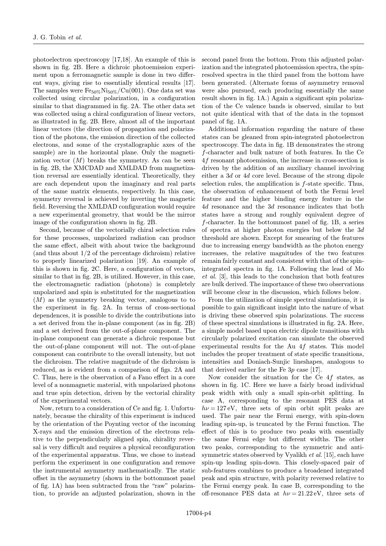photoelectron spectroscopy [17,18]. An example of this is shown in fig. 2B. Here a dichroic photoemission experiment upon a ferromagnetic sample is done in two different ways, giving rise to essentially identical results [17]. The samples were  $Fe_{50\%}Ni_{50\%}/Cu(001)$ . One data set was collected using circular polarization, in a configuration similar to that diagrammed in fig. 2A. The other data set was collected using a chiral configuration of linear vectors, as illustrated in fig. 2B. Here, almost all of the important linear vectors (the direction of propagation and polarization of the photons, the emission direction of the collected electrons, and some of the crystallographic axes of the sample) are in the horizontal plane. Only the magnetization vector  $(M)$  breaks the symmetry. As can be seen in fig. 2B, the XMCDAD and XMLDAD from magnetization reversal are essentially identical. Theoretically, they are each dependent upon the imaginary and real parts of the same matrix elements, respectively. In this case, symmetry reversal is achieved by inverting the magnetic field. Reversing the XMLDAD configuration would require a new experimental geometry, that would be the mirror image of the configuration shown in fig. 2B.

Second, because of the vectorially chiral selection rules for these processes, unpolarized radiation can produce the same effect, albeit with about twice the background (and thus about  $1/2$  of the percentage dichroism) relative to properly linearized polarization [19]. An example of this is shown in fig. 2C. Here, a configuration of vectors, similar to that in fig. 2B, is utilized. However, in this case, the electromagnetic radiation (photons) is completely unpolarized and spin is substituted for the magnetization  $(M)$  as the symmetry breaking vector, analogous to to the experiment in fig. 2A. In terms of cross-sectional dependences, it is possible to divide the contributions into a set derived from the in-plane component (as in fig. 2B) and a set derived from the out-of-plane component. The in-plane component can generate a dichroic response but the out-of-plane component will not. The out-of-plane component can contribute to the overall intensity, but not the dichroism. The relative magnitude of the dichroism is reduced, as is evident from a comparison of figs. 2A and C. Thus, here is the observation of a Fano effect in a core level of a nonmagnetic material, with unpolarized photons and true spin detection, driven by the vectorial chirality of the experimental vectors.

Now, return to a consideration of Ce and fig. 1. Unfortunately, because the chirality of this experiment is induced by the orientation of the Poynting vector of the incoming X-rays and the emission direction of the electrons relative to the perpendicularly aligned spin, chirality reversal is very difficult and requires a physical reconfiguration of the experimental apparatus. Thus, we chose to instead perform the experiment in one configuration and remove the instrumental asymmetry mathematically. The static offset in the asymmetry (shown in the bottommost panel of fig. 1A) has been subtracted from the "raw" polarization, to provide an adjusted polarization, shown in the

second panel from the bottom. From this adjusted polarization and the integrated photoemission spectra, the spinresolved spectra in the third panel from the bottom have been generated. (Alternate forms of asymmetry removal were also pursued, each producing essentially the same result shown in fig. 1A.) Again a significant spin polarization of the Ce valence bands is observed, similar to but not quite identical with that of the data in the topmost panel of fig. 1A.

Additional information regarding the nature of these states can be gleaned from spin-integrated photoelectron spectroscopy. The data in fig. 1B demonstrates the strong f-character and bulk nature of both features. In the Ce 4f resonant photoemission, the increase in cross-section is driven by the addition of an auxiliary channel involving either a 3d or 4d core level. Because of the strong dipole selection rules, the amplification is f-state specific. Thus, the observation of enhancement of both the Fermi level feature and the higher binding energy feature in the 4d resonance and the 3d resonance indicates that both states have a strong and roughly equivalent degree of f-character. In the bottommost panel of fig. 1B, a series of spectra at higher photon energies but below the 3d threshold are shown. Except for smearing of the features due to increasing energy bandwidth as the photon energy increases, the relative magnitudes of the two features remain fairly constant and consistent with that of the spinintegrated spectra in fig. 1A. Following the lead of Mo et al. [3], this leads to the conclusion that both features are bulk derived. The importance of these two observations will become clear in the discussion, which follows below.

From the utilization of simple spectral simulations, it is possible to gain significant insight into the nature of what is driving these observed spin polarizations. The success of these spectral simulations is illustrated in fig. 2A. Here, a simple model based upon electric dipole transitions with circularly polarized excitation can simulate the observed experimental results for the Au 4f states. This model includes the proper treatment of state specific transitions, intensities and Doniach-Sunjic lineshapes, analogous to that derived earlier for the Fe 3p case [17].

Now consider the situation for the Ce 4f states, as shown in fig. 1C. Here we have a fairly broad individual peak width with only a small spin-orbit splitting. In case A, corresponding to the resonant PES data at  $h\nu = 127$  eV, three sets of spin orbit split peaks are used. The pair near the Fermi energy, with spin-down leading spin-up, is truncated by the Fermi function. The effect of this is to produce two peaks with essentially the same Fermi edge but different widths. The other two peaks, corresponding to the symmetric and antisymmetric states observed by Vyalikh *et al.* [15], each have spin-up leading spin-down. This closely-spaced pair of sub-features combines to produce a broadened integrated peak and spin structure, with polarity reversed relative to the Fermi energy peak. In case B, corresponding to the off-resonance PES data at  $h\nu = 21.22 \text{ eV}$ , three sets of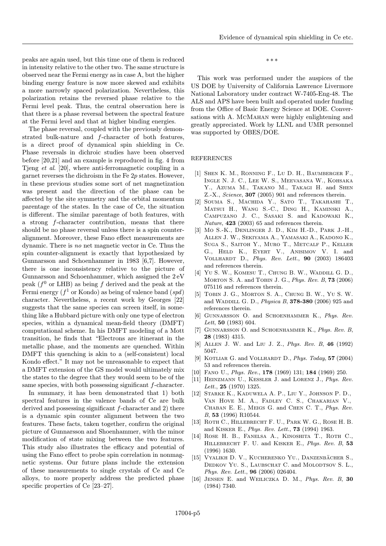peaks are again used, but this time one of them is reduced in intensity relative to the other two. The same structure is observed near the Fermi energy as in case A, but the higher binding energy feature is now more skewed and exhibits a more narrowly spaced polarization. Nevertheless, this polarization retains the reversed phase relative to the Fermi level peak. Thus, the central observation here is that there is a phase reversal between the spectral feature at the Fermi level and that at higher binding energies.

The phase reversal, coupled with the previously demonstrated bulk-nature and f-character of both features, is a direct proof of dynamical spin shielding in Ce. Phase reversals in dichroic studies have been observed before [20,21] and an example is reproduced in fig. 4 from Tjeng et al. [20], where anti-ferromagnetic coupling in a garnet reverses the dichroism in the Fe 2p states. However, in these previous studies some sort of net magnetization was present and the direction of the phase can be affected by the site symmetry and the orbital momentum parentage of the states. In the case of Ce, the situation is different. The similar parentage of both features, with a strong f-character contribution, means that there should be no phase reversal unless there is a spin counteralignment. Moreover, these Fano effect measurements are dynamic. There is no net magnetic vector in Ce. Thus the spin counter-alignment is exactly that hypothesized by Gunnarsson and Schoenhammer in 1983 [6,7]. However, there is one inconsistency relative to the picture of Gunnarsson and Schoenhammer, which assigned the 2 eV peak  $(f^0$  or LHB) as being f derived and the peak at the Fermi energy  $(f^1 \text{ or Kondo})$  as being of valence band  $(spd)$ character. Nevertheless, a recent work by Georges [22] suggests that the same species can screen itself, in something like a Hubbard picture with only one type of electron species, within a dynamical mean-field theory (DMFT) computational scheme. In his DMFT modeling of a Mott transition, he finds that "Electrons are itinerant in the metallic phase, and the moments are quenched. Within DMFT this quenching is akin to a (self-consistent) local Kondo effect." It may not be unreasonable to expect that a DMFT extension of the GS model would ultimately mix the states to the degree that they would seem to be of the same species, with both possessing significant f-character.

In summary, it has been demonstrated that 1) both spectral features in the valence bands of Ce are bulk derived and possessing significant f-character and 2) there is a dynamic spin counter alignment between the two features. These facts, taken together, confirm the original picture of Gunnarsson and Shoenhammer, with the minor modification of state mixing between the two features. This study also illustrates the efficacy and potential of using the Fano effect to probe spin correlation in nonmagnetic systems. Our future plans include the extension of these measurements to single crystals of Ce and Ce alloys, to more properly address the predicted phase specific properties of Ce [23–27].

∗∗∗

This work was performed under the auspices of the US DOE by University of California Lawrence Livermore National Laboratory under contract W-7405-Eng-48. The ALS and APS have been built and operated under funding from the Office of Basic Energy Science at DOE. Conversations with A. MCMAHAN were highly enlightening and greatly appreciated. Work by LLNL and UMR personnel was supported by OBES/DOE.

## REFERENCES

- [1] Shen K. M., Ronning F., Lu D. H., Baumberger F., Ingle N. J. C., Lee W. S., Meevasana W., Kohsaka Y., Azuma M., Takano M., Takagi H. and Shen Z.-X., Science, 307 (2005) 901 and references therein.
- [2] Souma S., Machida Y., Sato T., Takahashi T., Matsui H., Wang S.-C., Ding H., Kaminski A., CAMPUZANO J. C., SASAKI S. and KADOWAKI K.,  $Nature$ ,  $423$  (2003) 65 and references therein.
- [3] Mo S.-K., Denlinger J. D., Kim H.-D., Park J.-H., Allen J. W., Sekiyama A., Yamasaki A., Kadono K., Suga S., Saitoh Y., Muro T., Metcalf P., Keller G., Held K., Eyert V., Anisimov V. I. and VOLLHARDT D., Phys. Rev. Lett., 90 (2003) 186403 and references therein.
- [4] YU S. W., KOMESU T., CHUNG B. W., WADDILL G. D., Morton S. A. and Tobin J. G., Phys. Rev. B, 73 (2006) 075116 and references therein.
- [5] Tobin J. G., Morton S. A., Chung B. W., Yu S. W. and WADDILL G. D., *Physica B*, **378-380** (2006) 925 and references therein.
- [6] GUNNARSSON O. and SCHOENHAMMER K., Phys. Rev. Lett, 50 (1983) 604.
- [7] GUNNARSSON O. and SCHOENHAMMER K., Phys. Rev. B, 28 (1983) 4315.
- [8] Allen J. W. and Liu J. Z., Phys. Rev. B, 46 (1992) 5047.
- [9] KOTLIAR G. and VOLLHARDT D., Phys. Today, 57 (2004) 53 and references therein.
- [10] Fano U., Phys. Rev., 178 (1969) 131; 184 (1969) 250.
- [11] HEINZMANN U., KESSLER J. and LORENZ J., Phys. Rev. Lett., **25** (1970) 1325.
- [12] Starke K., Kaduwela A. P., Liu Y., Johnson P. D., Van Hove M. A., Fadley C. S., Chakarian V., Chaban E. E., Meigs G. and Chen C. T., Phys. Rev. B, 53 (1996) R10544.
- [13] ROTH C., HILLEBRECHT F. U., PARK W. G., ROSE H. B. and Kisker E., Phys. Rev. Lett., 73 (1994) 1963.
- [14] ROSE H. B., FANELSA A., KINOSHITA T., ROTH C., HILLEBRECHT F. U. and KISKER E., Phys. Rev. B, 53 (1996) 1630.
- [15] VYALIKH D. V., KUCHERENKO YU., DANZENBÄCHER S., DEDKOV YU. S., LAUBSCHAT C. and MOLODTSOV S. L., Phys. Rev. Lett., 96 (2006) 026404.
- [16] JENSEN E. and WEILICZKA D. M., Phys. Rev. B, 30 (1984) 7340.